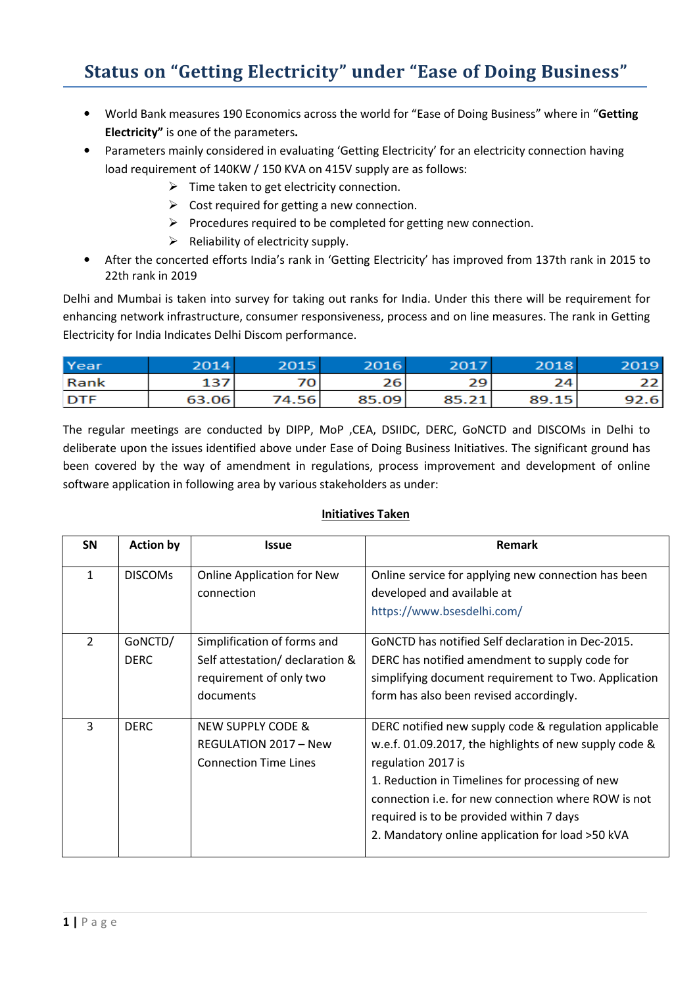## Status on "Getting Electricity" under "Ease of Doing Business"

- World Bank measures 190 Economics across the world for "Ease of Doing Business" where in "Getting Electricity" is one of the parameters.
- Parameters mainly considered in evaluating 'Getting Electricity' for an electricity connection having load requirement of 140KW / 150 KVA on 415V supply are as follows:
	- $\triangleright$  Time taken to get electricity connection.
	- $\triangleright$  Cost required for getting a new connection.
	- $\triangleright$  Procedures required to be completed for getting new connection.
	- $\triangleright$  Reliability of electricity supply.
- After the concerted efforts India's rank in 'Getting Electricity' has improved from 137th rank in 2015 to 22th rank in 2019

Delhi and Mumbai is taken into survey for taking out ranks for India. Under this there will be requirement for enhancing network infrastructure, consumer responsiveness, process and on line measures. The rank in Getting Electricity for India Indicates Delhi Discom performance.

| Year        | 2014  | 2015  | 2016  | 2017  | 2018  | 2019 |
|-------------|-------|-------|-------|-------|-------|------|
| <b>Rank</b> | 137   | 70    | 26    | 29    | 24    | 22.  |
| <b>DTF</b>  | 63.06 | 74.56 | 85.09 | 85.21 | 89.15 | 92.6 |

The regular meetings are conducted by DIPP, MoP ,CEA, DSIIDC, DERC, GoNCTD and DISCOMs in Delhi to deliberate upon the issues identified above under Ease of Doing Business Initiatives. The significant ground has been covered by the way of amendment in regulations, process improvement and development of online software application in following area by various stakeholders as under:

## Initiatives Taken

| <b>SN</b>      | <b>Action by</b> | <b>Issue</b>                                    | Remark                                                                            |
|----------------|------------------|-------------------------------------------------|-----------------------------------------------------------------------------------|
| 1              | <b>DISCOMS</b>   | <b>Online Application for New</b><br>connection | Online service for applying new connection has been<br>developed and available at |
|                |                  |                                                 | https://www.bsesdelhi.com/                                                        |
| $\overline{2}$ | GoNCTD/          | Simplification of forms and                     | GONCTD has notified Self declaration in Dec-2015.                                 |
|                | <b>DERC</b>      | Self attestation/ declaration &                 | DERC has notified amendment to supply code for                                    |
|                |                  | requirement of only two                         | simplifying document requirement to Two. Application                              |
|                |                  | documents                                       | form has also been revised accordingly.                                           |
| 3              | <b>DERC</b>      | <b>NEW SUPPLY CODE &amp;</b>                    | DERC notified new supply code & regulation applicable                             |
|                |                  | REGULATION 2017 - New                           | w.e.f. 01.09.2017, the highlights of new supply code &                            |
|                |                  | <b>Connection Time Lines</b>                    | regulation 2017 is                                                                |
|                |                  |                                                 | 1. Reduction in Timelines for processing of new                                   |
|                |                  |                                                 | connection i.e. for new connection where ROW is not                               |
|                |                  |                                                 | required is to be provided within 7 days                                          |
|                |                  |                                                 | 2. Mandatory online application for load >50 kVA                                  |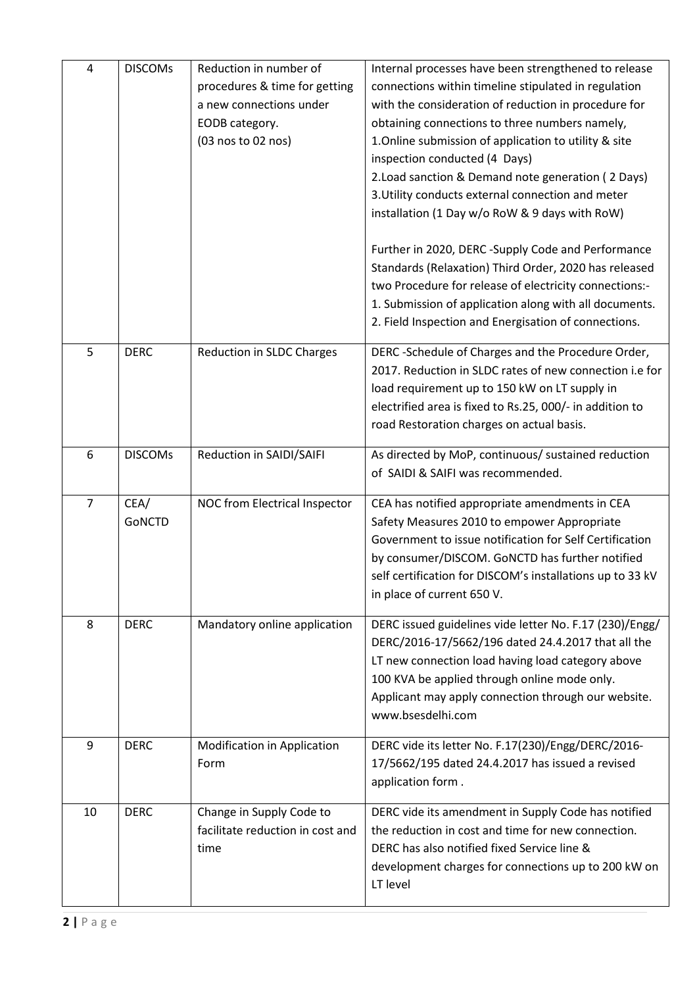| 4              | <b>DISCOMS</b> | Reduction in number of<br>procedures & time for getting<br>a new connections under<br>EODB category.<br>(03 nos to 02 nos) | Internal processes have been strengthened to release<br>connections within timeline stipulated in regulation<br>with the consideration of reduction in procedure for<br>obtaining connections to three numbers namely,<br>1. Online submission of application to utility & site<br>inspection conducted (4 Days)<br>2. Load sanction & Demand note generation (2 Days)<br>3. Utility conducts external connection and meter<br>installation (1 Day w/o RoW & 9 days with RoW)<br>Further in 2020, DERC-Supply Code and Performance<br>Standards (Relaxation) Third Order, 2020 has released<br>two Procedure for release of electricity connections:-<br>1. Submission of application along with all documents.<br>2. Field Inspection and Energisation of connections. |
|----------------|----------------|----------------------------------------------------------------------------------------------------------------------------|-------------------------------------------------------------------------------------------------------------------------------------------------------------------------------------------------------------------------------------------------------------------------------------------------------------------------------------------------------------------------------------------------------------------------------------------------------------------------------------------------------------------------------------------------------------------------------------------------------------------------------------------------------------------------------------------------------------------------------------------------------------------------|
| 5              | <b>DERC</b>    | Reduction in SLDC Charges                                                                                                  | DERC-Schedule of Charges and the Procedure Order,<br>2017. Reduction in SLDC rates of new connection i.e for<br>load requirement up to 150 kW on LT supply in<br>electrified area is fixed to Rs.25, 000/- in addition to<br>road Restoration charges on actual basis.                                                                                                                                                                                                                                                                                                                                                                                                                                                                                                  |
| 6              | <b>DISCOMs</b> | Reduction in SAIDI/SAIFI                                                                                                   | As directed by MoP, continuous/ sustained reduction<br>of SAIDI & SAIFI was recommended.                                                                                                                                                                                                                                                                                                                                                                                                                                                                                                                                                                                                                                                                                |
| $\overline{7}$ | CEA/<br>GoNCTD | NOC from Electrical Inspector                                                                                              | CEA has notified appropriate amendments in CEA<br>Safety Measures 2010 to empower Appropriate<br>Government to issue notification for Self Certification<br>by consumer/DISCOM. GoNCTD has further notified<br>self certification for DISCOM's installations up to 33 kV<br>in place of current 650 V.                                                                                                                                                                                                                                                                                                                                                                                                                                                                  |
| 8              | <b>DERC</b>    | Mandatory online application                                                                                               | DERC issued guidelines vide letter No. F.17 (230)/Engg/<br>DERC/2016-17/5662/196 dated 24.4.2017 that all the<br>LT new connection load having load category above<br>100 KVA be applied through online mode only.<br>Applicant may apply connection through our website.<br>www.bsesdelhi.com                                                                                                                                                                                                                                                                                                                                                                                                                                                                          |
| 9              | <b>DERC</b>    | <b>Modification in Application</b><br>Form                                                                                 | DERC vide its letter No. F.17(230)/Engg/DERC/2016-<br>17/5662/195 dated 24.4.2017 has issued a revised<br>application form.                                                                                                                                                                                                                                                                                                                                                                                                                                                                                                                                                                                                                                             |
| 10             | <b>DERC</b>    | Change in Supply Code to<br>facilitate reduction in cost and<br>time                                                       | DERC vide its amendment in Supply Code has notified<br>the reduction in cost and time for new connection.<br>DERC has also notified fixed Service line &<br>development charges for connections up to 200 kW on<br>LT level                                                                                                                                                                                                                                                                                                                                                                                                                                                                                                                                             |